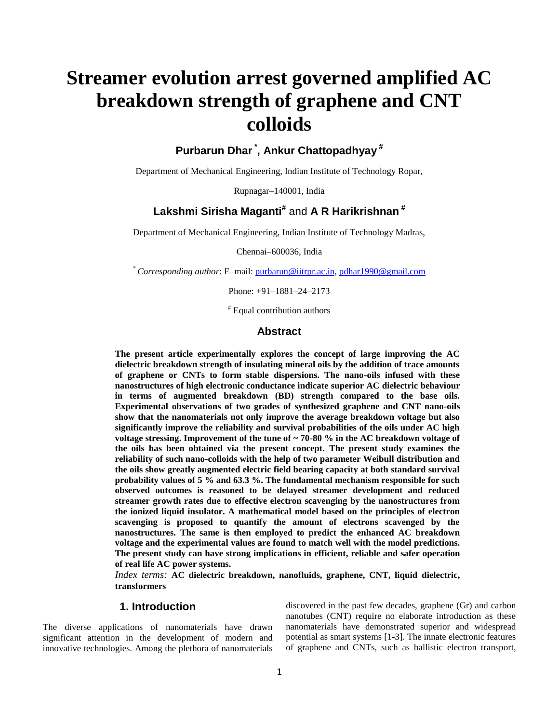# **Streamer evolution arrest governed amplified AC breakdown strength of graphene and CNT colloids**

**Purbarun Dhar\* , Ankur Chattopadhyay #**

Department of Mechanical Engineering, Indian Institute of Technology Ropar,

Rupnagar–140001, India

# **Lakshmi Sirisha Maganti#** and **A R Harikrishnan #**

Department of Mechanical Engineering, Indian Institute of Technology Madras,

Chennai–600036, India

\* *Corresponding author*: E–mail: [purbarun@iitrpr.ac.in,](mailto:purbarun@iitrpr.ac.in) [pdhar1990@gmail.com](mailto:pdhar1990@gmail.com)

Phone: +91–1881–24–2173

# Equal contribution authors

## **Abstract**

**The present article experimentally explores the concept of large improving the AC dielectric breakdown strength of insulating mineral oils by the addition of trace amounts of graphene or CNTs to form stable dispersions. The nano-oils infused with these nanostructures of high electronic conductance indicate superior AC dielectric behaviour in terms of augmented breakdown (BD) strength compared to the base oils. Experimental observations of two grades of synthesized graphene and CNT nano-oils show that the nanomaterials not only improve the average breakdown voltage but also significantly improve the reliability and survival probabilities of the oils under AC high voltage stressing. Improvement of the tune of ~ 70-80 % in the AC breakdown voltage of the oils has been obtained via the present concept. The present study examines the reliability of such nano-colloids with the help of two parameter Weibull distribution and the oils show greatly augmented electric field bearing capacity at both standard survival probability values of 5 % and 63.3 %. The fundamental mechanism responsible for such observed outcomes is reasoned to be delayed streamer development and reduced streamer growth rates due to effective electron scavenging by the nanostructures from the ionized liquid insulator. A mathematical model based on the principles of electron scavenging is proposed to quantify the amount of electrons scavenged by the nanostructures. The same is then employed to predict the enhanced AC breakdown voltage and the experimental values are found to match well with the model predictions. The present study can have strong implications in efficient, reliable and safer operation of real life AC power systems.** 

*Index terms:* **AC dielectric breakdown, nanofluids, graphene, CNT, liquid dielectric, transformers**

## **1. Introduction**

The diverse applications of nanomaterials have drawn significant attention in the development of modern and innovative technologies. Among the plethora of nanomaterials discovered in the past few decades, graphene (Gr) and carbon nanotubes (CNT) require no elaborate introduction as these nanomaterials have demonstrated superior and widespread potential as smart systems [1-3]. The innate electronic features of graphene and CNTs, such as ballistic electron transport,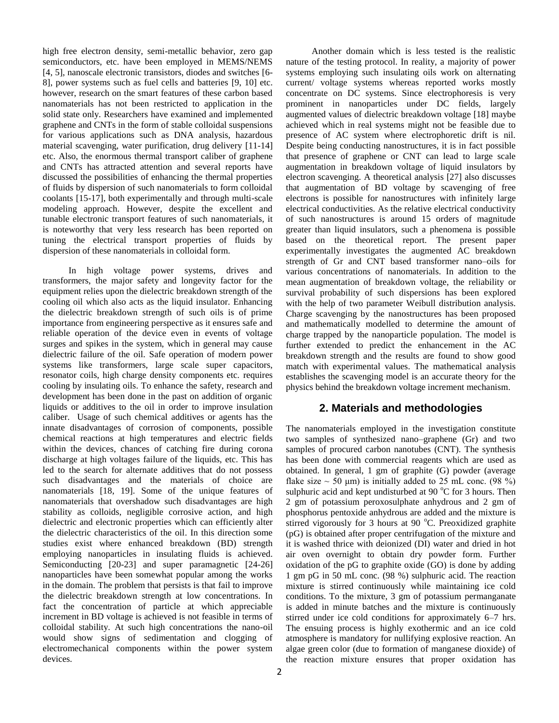high free electron density, semi-metallic behavior, zero gap semiconductors, etc. have been employed in MEMS/NEMS [4, 5], nanoscale electronic transistors, diodes and switches [6- 8], power systems such as fuel cells and batteries [9, 10] etc. however, research on the smart features of these carbon based nanomaterials has not been restricted to application in the solid state only. Researchers have examined and implemented graphene and CNTs in the form of stable colloidal suspensions for various applications such as DNA analysis, hazardous material scavenging, water purification, drug delivery [11-14] etc. Also, the enormous thermal transport caliber of graphene and CNTs has attracted attention and several reports have discussed the possibilities of enhancing the thermal properties of fluids by dispersion of such nanomaterials to form colloidal coolants [15-17], both experimentally and through multi-scale modeling approach. However, despite the excellent and tunable electronic transport features of such nanomaterials, it is noteworthy that very less research has been reported on tuning the electrical transport properties of fluids by dispersion of these nanomaterials in colloidal form.

In high voltage power systems, drives and transformers, the major safety and longevity factor for the equipment relies upon the dielectric breakdown strength of the cooling oil which also acts as the liquid insulator. Enhancing the dielectric breakdown strength of such oils is of prime importance from engineering perspective as it ensures safe and reliable operation of the device even in events of voltage surges and spikes in the system, which in general may cause dielectric failure of the oil. Safe operation of modern power systems like transformers, large scale super capacitors, resonator coils, high charge density components etc. requires cooling by insulating oils. To enhance the safety, research and development has been done in the past on addition of organic liquids or additives to the oil in order to improve insulation caliber. Usage of such chemical additives or agents has the innate disadvantages of corrosion of components, possible chemical reactions at high temperatures and electric fields within the devices, chances of catching fire during corona discharge at high voltages failure of the liquids, etc. This has led to the search for alternate additives that do not possess such disadvantages and the materials of choice are nanomaterials [18, 19]. Some of the unique features of nanomaterials that overshadow such disadvantages are high stability as colloids, negligible corrosive action, and high dielectric and electronic properties which can efficiently alter the dielectric characteristics of the oil. In this direction some studies exist where enhanced breakdown (BD) strength employing nanoparticles in insulating fluids is achieved. Semiconducting [20-23] and super paramagnetic [24-26] nanoparticles have been somewhat popular among the works in the domain. The problem that persists is that fail to improve the dielectric breakdown strength at low concentrations. In fact the concentration of particle at which appreciable increment in BD voltage is achieved is not feasible in terms of colloidal stability. At such high concentrations the nano-oil would show signs of sedimentation and clogging of electromechanical components within the power system devices.

Another domain which is less tested is the realistic nature of the testing protocol. In reality, a majority of power systems employing such insulating oils work on alternating current/ voltage systems whereas reported works mostly concentrate on DC systems. Since electrophoresis is very prominent in nanoparticles under DC fields, largely augmented values of dielectric breakdown voltage [18] maybe achieved which in real systems might not be feasible due to presence of AC system where electrophoretic drift is nil. Despite being conducting nanostructures, it is in fact possible that presence of graphene or CNT can lead to large scale augmentation in breakdown voltage of liquid insulators by electron scavenging. A theoretical analysis [27] also discusses that augmentation of BD voltage by scavenging of free electrons is possible for nanostructures with infinitely large electrical conductivities. As the relative electrical conductivity of such nanostructures is around 15 orders of magnitude greater than liquid insulators, such a phenomena is possible based on the theoretical report. The present paper experimentally investigates the augmented AC breakdown strength of Gr and CNT based transformer nano–oils for various concentrations of nanomaterials. In addition to the mean augmentation of breakdown voltage, the reliability or survival probability of such dispersions has been explored with the help of two parameter Weibull distribution analysis. Charge scavenging by the nanostructures has been proposed and mathematically modelled to determine the amount of charge trapped by the nanoparticle population. The model is further extended to predict the enhancement in the AC breakdown strength and the results are found to show good match with experimental values. The mathematical analysis establishes the scavenging model is an accurate theory for the physics behind the breakdown voltage increment mechanism.

# **2. Materials and methodologies**

The nanomaterials employed in the investigation constitute two samples of synthesized nano–graphene (Gr) and two samples of procured carbon nanotubes (CNT). The synthesis has been done with commercial reagents which are used as obtained. In general, 1 gm of graphite (G) powder (average flake size  $\sim$  50 µm) is initially added to 25 mL conc. (98 %) sulphuric acid and kept undisturbed at 90 $\degree$ C for 3 hours. Then 2 gm of potassium peroxosulphate anhydrous and 2 gm of phosphorus pentoxide anhydrous are added and the mixture is stirred vigorously for 3 hours at 90  $^{\circ}$ C. Preoxidized graphite (pG) is obtained after proper centrifugation of the mixture and it is washed thrice with deionized (DI) water and dried in hot air oven overnight to obtain dry powder form. Further oxidation of the pG to graphite oxide (GO) is done by adding 1 gm pG in 50 mL conc. (98 %) sulphuric acid. The reaction mixture is stirred continuously while maintaining ice cold conditions. To the mixture, 3 gm of potassium permanganate is added in minute batches and the mixture is continuously stirred under ice cold conditions for approximately 6–7 hrs. The ensuing process is highly exothermic and an ice cold atmosphere is mandatory for nullifying explosive reaction. An algae green color (due to formation of manganese dioxide) of the reaction mixture ensures that proper oxidation has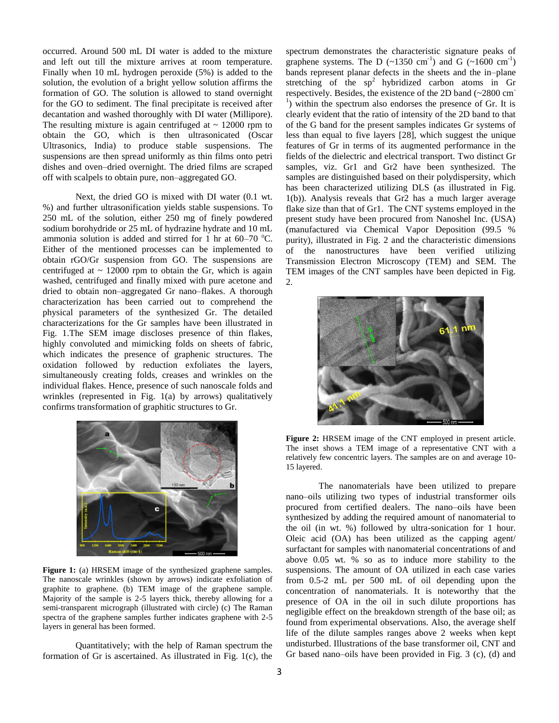occurred. Around 500 mL DI water is added to the mixture and left out till the mixture arrives at room temperature. Finally when 10 mL hydrogen peroxide (5%) is added to the solution, the evolution of a bright yellow solution affirms the formation of GO. The solution is allowed to stand overnight for the GO to sediment. The final precipitate is received after decantation and washed thoroughly with DI water (Millipore). The resulting mixture is again centrifuged at  $\sim 12000$  rpm to obtain the GO, which is then ultrasonicated (Oscar Ultrasonics, India) to produce stable suspensions. The suspensions are then spread uniformly as thin films onto petri dishes and oven–dried overnight. The dried films are scraped off with scalpels to obtain pure, non–aggregated GO.

Next, the dried GO is mixed with DI water (0.1 wt. %) and further ultrasonification yields stable suspensions. To 250 mL of the solution, either 250 mg of finely powdered sodium borohydride or 25 mL of hydrazine hydrate and 10 mL ammonia solution is added and stirred for 1 hr at  $60-70$  °C. Either of the mentioned processes can be implemented to obtain rGO/Gr suspension from GO. The suspensions are centrifuged at  $\sim 12000$  rpm to obtain the Gr, which is again washed, centrifuged and finally mixed with pure acetone and dried to obtain non–aggregated Gr nano–flakes. A thorough characterization has been carried out to comprehend the physical parameters of the synthesized Gr. The detailed characterizations for the Gr samples have been illustrated in Fig. 1.The SEM image discloses presence of thin flakes, highly convoluted and mimicking folds on sheets of fabric, which indicates the presence of graphenic structures. The oxidation followed by reduction exfoliates the layers, simultaneously creating folds, creases and wrinkles on the individual flakes. Hence, presence of such nanoscale folds and wrinkles (represented in Fig. 1(a) by arrows) qualitatively confirms transformation of graphitic structures to Gr.



Figure 1: (a) HRSEM image of the synthesized graphene samples. The nanoscale wrinkles (shown by arrows) indicate exfoliation of graphite to graphene. (b) TEM image of the graphene sample. Majority of the sample is 2-5 layers thick, thereby allowing for a semi-transparent micrograph (illustrated with circle) (c) The Raman spectra of the graphene samples further indicates graphene with 2-5 layers in general has been formed.

Quantitatively; with the help of Raman spectrum the formation of Gr is ascertained. As illustrated in Fig. 1(c), the

spectrum demonstrates the characteristic signature peaks of graphene systems. The D  $(\sim 1350 \text{ cm}^{-1})$  and G  $(\sim 1600 \text{ cm}^{-1})$ bands represent planar defects in the sheets and the in–plane stretching of the  $sp^2$  hybridized carbon atoms in Gr respectively. Besides, the existence of the 2D band (~2800 cm-<sup>1</sup>) within the spectrum also endorses the presence of Gr. It is clearly evident that the ratio of intensity of the 2D band to that of the G band for the present samples indicates Gr systems of less than equal to five layers [28], which suggest the unique features of Gr in terms of its augmented performance in the fields of the dielectric and electrical transport. Two distinct Gr samples, viz. Gr1 and Gr2 have been synthesized. The samples are distinguished based on their polydispersity, which has been characterized utilizing DLS (as illustrated in Fig. 1(b)). Analysis reveals that Gr2 has a much larger average flake size than that of Gr1. The CNT systems employed in the present study have been procured from Nanoshel Inc. (USA) (manufactured via Chemical Vapor Deposition (99.5 % purity), illustrated in Fig. 2 and the characteristic dimensions of the nanostructures have been verified utilizing Transmission Electron Microscopy (TEM) and SEM. The TEM images of the CNT samples have been depicted in Fig. 2.



**Figure 2:** HRSEM image of the CNT employed in present article. The inset shows a TEM image of a representative CNT with a relatively few concentric layers. The samples are on and average 10- 15 layered.

The nanomaterials have been utilized to prepare nano–oils utilizing two types of industrial transformer oils procured from certified dealers. The nano–oils have been synthesized by adding the required amount of nanomaterial to the oil (in wt. %) followed by ultra-sonication for 1 hour. Oleic acid (OA) has been utilized as the capping agent/ surfactant for samples with nanomaterial concentrations of and above 0.05 wt. % so as to induce more stability to the suspensions. The amount of OA utilized in each case varies from 0.5-2 mL per 500 mL of oil depending upon the concentration of nanomaterials. It is noteworthy that the presence of OA in the oil in such dilute proportions has negligible effect on the breakdown strength of the base oil; as found from experimental observations. Also, the average shelf life of the dilute samples ranges above 2 weeks when kept undisturbed. Illustrations of the base transformer oil, CNT and Gr based nano–oils have been provided in Fig. 3 (c), (d) and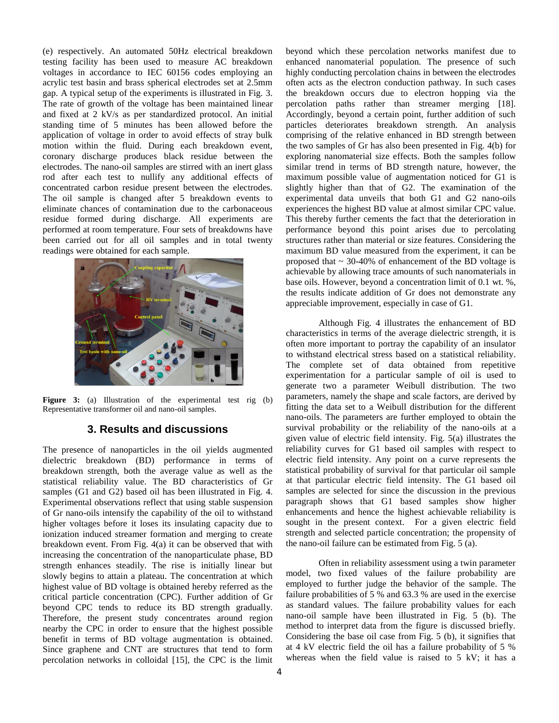(e) respectively. An automated 50Hz electrical breakdown testing facility has been used to measure AC breakdown voltages in accordance to IEC 60156 codes employing an acrylic test basin and brass spherical electrodes set at 2.5mm gap. A typical setup of the experiments is illustrated in Fig. 3. The rate of growth of the voltage has been maintained linear and fixed at 2 kV/s as per standardized protocol. An initial standing time of 5 minutes has been allowed before the application of voltage in order to avoid effects of stray bulk motion within the fluid. During each breakdown event, coronary discharge produces black residue between the electrodes. The nano-oil samples are stirred with an inert glass rod after each test to nullify any additional effects of concentrated carbon residue present between the electrodes. The oil sample is changed after 5 breakdown events to eliminate chances of contamination due to the carbonaceous residue formed during discharge. All experiments are performed at room temperature. Four sets of breakdowns have been carried out for all oil samples and in total twenty readings were obtained for each sample.



Figure 3: (a) Illustration of the experimental test rig (b) Representative transformer oil and nano-oil samples.

# **3. Results and discussions**

The presence of nanoparticles in the oil yields augmented dielectric breakdown (BD) performance in terms of breakdown strength, both the average value as well as the statistical reliability value. The BD characteristics of Gr samples (G1 and G2) based oil has been illustrated in Fig. 4. Experimental observations reflect that using stable suspension of Gr nano-oils intensify the capability of the oil to withstand higher voltages before it loses its insulating capacity due to ionization induced streamer formation and merging to create breakdown event. From Fig. 4(a) it can be observed that with increasing the concentration of the nanoparticulate phase, BD strength enhances steadily. The rise is initially linear but slowly begins to attain a plateau. The concentration at which highest value of BD voltage is obtained hereby referred as the critical particle concentration (CPC). Further addition of Gr beyond CPC tends to reduce its BD strength gradually. Therefore, the present study concentrates around region nearby the CPC in order to ensure that the highest possible benefit in terms of BD voltage augmentation is obtained. Since graphene and CNT are structures that tend to form percolation networks in colloidal [15], the CPC is the limit beyond which these percolation networks manifest due to enhanced nanomaterial population. The presence of such highly conducting percolation chains in between the electrodes often acts as the electron conduction pathway. In such cases the breakdown occurs due to electron hopping via the percolation paths rather than streamer merging [18]. Accordingly, beyond a certain point, further addition of such particles deteriorates breakdown strength. An analysis comprising of the relative enhanced in BD strength between the two samples of Gr has also been presented in Fig. 4(b) for exploring nanomaterial size effects. Both the samples follow similar trend in terms of BD strength nature, however, the maximum possible value of augmentation noticed for G1 is slightly higher than that of G2. The examination of the experimental data unveils that both G1 and G2 nano-oils experiences the highest BD value at almost similar CPC value. This thereby further cements the fact that the deterioration in performance beyond this point arises due to percolating structures rather than material or size features. Considering the maximum BD value measured from the experiment, it can be proposed that  $\sim$  30-40% of enhancement of the BD voltage is achievable by allowing trace amounts of such nanomaterials in base oils. However, beyond a concentration limit of 0.1 wt. %, the results indicate addition of Gr does not demonstrate any appreciable improvement, especially in case of G1.

Although Fig. 4 illustrates the enhancement of BD characteristics in terms of the average dielectric strength, it is often more important to portray the capability of an insulator to withstand electrical stress based on a statistical reliability. The complete set of data obtained from repetitive experimentation for a particular sample of oil is used to generate two a parameter Weibull distribution. The two parameters, namely the shape and scale factors, are derived by fitting the data set to a Weibull distribution for the different nano-oils. The parameters are further employed to obtain the survival probability or the reliability of the nano-oils at a given value of electric field intensity. Fig. 5(a) illustrates the reliability curves for G1 based oil samples with respect to electric field intensity. Any point on a curve represents the statistical probability of survival for that particular oil sample at that particular electric field intensity. The G1 based oil samples are selected for since the discussion in the previous paragraph shows that G1 based samples show higher enhancements and hence the highest achievable reliability is sought in the present context. For a given electric field strength and selected particle concentration; the propensity of the nano-oil failure can be estimated from Fig. 5 (a).

Often in reliability assessment using a twin parameter model, two fixed values of the failure probability are employed to further judge the behavior of the sample. The failure probabilities of 5 % and 63.3 % are used in the exercise as standard values. The failure probability values for each nano-oil sample have been illustrated in Fig. 5 (b). The method to interpret data from the figure is discussed briefly. Considering the base oil case from Fig. 5 (b), it signifies that at 4 kV electric field the oil has a failure probability of 5 % whereas when the field value is raised to 5 kV; it has a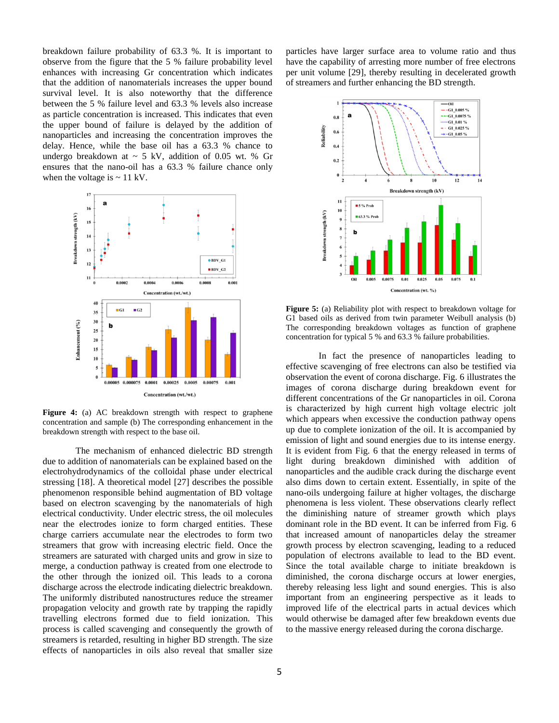breakdown failure probability of 63.3 %. It is important to observe from the figure that the 5 % failure probability level enhances with increasing Gr concentration which indicates that the addition of nanomaterials increases the upper bound survival level. It is also noteworthy that the difference between the 5 % failure level and 63.3 % levels also increase as particle concentration is increased. This indicates that even the upper bound of failure is delayed by the addition of nanoparticles and increasing the concentration improves the delay. Hence, while the base oil has a 63.3 % chance to undergo breakdown at  $\sim$  5 kV, addition of 0.05 wt. % Gr ensures that the nano-oil has a 63.3 % failure chance only when the voltage is  $\sim$  11 kV.



**Figure 4:** (a) AC breakdown strength with respect to graphene concentration and sample (b) The corresponding enhancement in the breakdown strength with respect to the base oil.

The mechanism of enhanced dielectric BD strength due to addition of nanomaterials can be explained based on the electrohydrodynamics of the colloidal phase under electrical stressing [18]. A theoretical model [27] describes the possible phenomenon responsible behind augmentation of BD voltage based on electron scavenging by the nanomaterials of high electrical conductivity. Under electric stress, the oil molecules near the electrodes ionize to form charged entities. These charge carriers accumulate near the electrodes to form two streamers that grow with increasing electric field. Once the streamers are saturated with charged units and grow in size to merge, a conduction pathway is created from one electrode to the other through the ionized oil. This leads to a corona discharge across the electrode indicating dielectric breakdown. The uniformly distributed nanostructures reduce the streamer propagation velocity and growth rate by trapping the rapidly travelling electrons formed due to field ionization. This process is called scavenging and consequently the growth of streamers is retarded, resulting in higher BD strength. The size effects of nanoparticles in oils also reveal that smaller size particles have larger surface area to volume ratio and thus have the capability of arresting more number of free electrons per unit volume [29], thereby resulting in decelerated growth of streamers and further enhancing the BD strength.



**Figure 5:** (a) Reliability plot with respect to breakdown voltage for G1 based oils as derived from twin parameter Weibull analysis (b) The corresponding breakdown voltages as function of graphene concentration for typical 5 % and 63.3 % failure probabilities.

In fact the presence of nanoparticles leading to effective scavenging of free electrons can also be testified via observation the event of corona discharge. Fig. 6 illustrates the images of corona discharge during breakdown event for different concentrations of the Gr nanoparticles in oil. Corona is characterized by high current high voltage electric jolt which appears when excessive the conduction pathway opens up due to complete ionization of the oil. It is accompanied by emission of light and sound energies due to its intense energy. It is evident from Fig. 6 that the energy released in terms of light during breakdown diminished with addition of nanoparticles and the audible crack during the discharge event also dims down to certain extent. Essentially, in spite of the nano-oils undergoing failure at higher voltages, the discharge phenomena is less violent. These observations clearly reflect the diminishing nature of streamer growth which plays dominant role in the BD event. It can be inferred from Fig. 6 that increased amount of nanoparticles delay the streamer growth process by electron scavenging, leading to a reduced population of electrons available to lead to the BD event. Since the total available charge to initiate breakdown is diminished, the corona discharge occurs at lower energies, thereby releasing less light and sound energies. This is also important from an engineering perspective as it leads to improved life of the electrical parts in actual devices which would otherwise be damaged after few breakdown events due to the massive energy released during the corona discharge.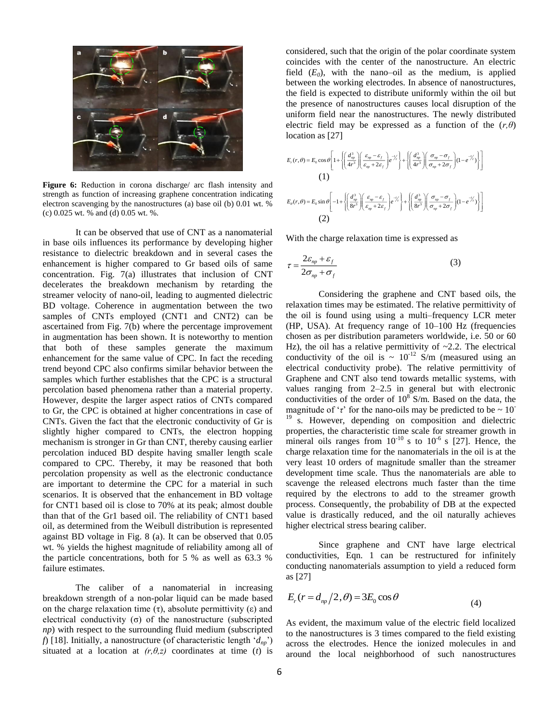

**Figure 6:** Reduction in corona discharge/ arc flash intensity and strength as function of increasing graphene concentration indicating electron scavenging by the nanostructures (a) base oil (b) 0.01 wt. % (c) 0.025 wt. % and (d) 0.05 wt. %.

It can be observed that use of CNT as a nanomaterial in base oils influences its performance by developing higher resistance to dielectric breakdown and in several cases the enhancement is higher compared to Gr based oils of same concentration. Fig. 7(a) illustrates that inclusion of CNT decelerates the breakdown mechanism by retarding the streamer velocity of nano-oil, leading to augmented dielectric BD voltage. Coherence in augmentation between the two samples of CNTs employed (CNT1 and CNT2) can be ascertained from Fig. 7(b) where the percentage improvement in augmentation has been shown. It is noteworthy to mention that both of these samples generate the maximum enhancement for the same value of CPC. In fact the receding trend beyond CPC also confirms similar behavior between the samples which further establishes that the CPC is a structural percolation based phenomena rather than a material property. However, despite the larger aspect ratios of CNTs compared to Gr, the CPC is obtained at higher concentrations in case of CNTs. Given the fact that the electronic conductivity of Gr is slightly higher compared to CNTs, the electron hopping mechanism is stronger in Gr than CNT, thereby causing earlier percolation induced BD despite having smaller length scale compared to CPC. Thereby, it may be reasoned that both percolation propensity as well as the electronic conductance are important to determine the CPC for a material in such scenarios. It is observed that the enhancement in BD voltage for CNT1 based oil is close to 70% at its peak; almost double than that of the Gr1 based oil. The reliability of CNT1 based oil, as determined from the Weibull distribution is represented against BD voltage in Fig. 8 (a). It can be observed that 0.05 wt. % yields the highest magnitude of reliability among all of the particle concentrations, both for 5 % as well as 63.3 % failure estimates.

The caliber of a nanomaterial in increasing breakdown strength of a non-polar liquid can be made based on the charge relaxation time  $(\tau)$ , absolute permittivity  $(\epsilon)$  and electrical conductivity ( $\sigma$ ) of the nanostructure (subscripted *np*) with respect to the surrounding fluid medium (subscripted *f*) [18]. Initially, a nanostructure (of characteristic length '*dnp*') situated at a location at  $(r, \theta, z)$  coordinates at time (*t*) is

considered, such that the origin of the polar coordinate system coincides with the center of the nanostructure. An electric field  $(E_0)$ , with the nano–oil as the medium, is applied between the working electrodes. In absence of nanostructures, the field is expected to distribute uniformly within the oil but the presence of nanostructures causes local disruption of the uniform field near the nanostructures. The newly distributed electric field may be expressed as a function of the  $(r, \theta)$ location as [27]

$$
E_r(r,\theta) = E_0 \cos \theta \left[ 1 + \left\{ \left( \frac{d_{op}^3}{4r^3} \right) \left( \frac{\varepsilon_{up} - \varepsilon_f}{\varepsilon_{up} + 2\varepsilon_f} \right) e^{-\frac{r}{\varepsilon'}} \right\} + \left\{ \left( \frac{d_{op}^3}{4r^3} \right) \left( \frac{\sigma_{up} - \sigma_f}{\sigma_{up} + 2\sigma_f} \right) (1 - e^{-\frac{r}{\varepsilon'}}) \right\} \right]
$$
  
\n(1)  
\n
$$
E_{\theta}(r,\theta) = E_0 \sin \theta \left[ -1 + \left\{ \left( \frac{d_{up}^3}{8r^3} \right) \left( \frac{\varepsilon_{up} - \varepsilon_f}{\varepsilon_{up} + 2\varepsilon_f} \right) e^{-\frac{r}{\varepsilon'}} \right\} + \left\{ \left( \frac{d_{up}^3}{8r^3} \right) \left( \frac{\sigma_{up} - \sigma_f}{\sigma_{up} + 2\sigma_f} \right) (1 - e^{-\frac{r}{\varepsilon'}}) \right\} \right]
$$
  
\n(2)

With the charge relaxation time is expressed as

$$
\tau = \frac{2\varepsilon_{np} + \varepsilon_f}{2\sigma_{np} + \sigma_f} \tag{3}
$$

Considering the graphene and CNT based oils, the relaxation times may be estimated. The relative permittivity of the oil is found using using a multi–frequency LCR meter (HP, USA). At frequency range of 10–100 Hz (frequencies chosen as per distribution parameters worldwide, i.e. 50 or 60 Hz), the oil has a relative permittivity of  $\sim$ 2.2. The electrical conductivity of the oil is  $\sim 10^{-12}$  S/m (measured using an electrical conductivity probe). The relative permittivity of Graphene and CNT also tend towards metallic systems, with values ranging from 2–2.5 in general but with electronic conductivities of the order of  $10^8$  S/m. Based on the data, the magnitude of ' $\tau$ ' for the nano-oils may be predicted to be  $\sim 10^{-1}$ <sup>19</sup> s. However, depending on composition and dielectric properties, the characteristic time scale for streamer growth in mineral oils ranges from  $10^{-10}$  s to  $10^{-6}$  s [27]. Hence, the charge relaxation time for the nanomaterials in the oil is at the very least 10 orders of magnitude smaller than the streamer development time scale. Thus the nanomaterials are able to scavenge the released electrons much faster than the time required by the electrons to add to the streamer growth process. Consequently, the probability of DB at the expected value is drastically reduced, and the oil naturally achieves higher electrical stress bearing caliber.

Since graphene and CNT have large electrical conductivities, Eqn. 1 can be restructured for infinitely conducting nanomaterials assumption to yield a reduced form as [27]

$$
E_r(r = d_{np}/2, \theta) = 3E_0 \cos \theta \tag{4}
$$

As evident, the maximum value of the electric field localized to the nanostructures is 3 times compared to the field existing across the electrodes. Hence the ionized molecules in and around the local neighborhood of such nanostructures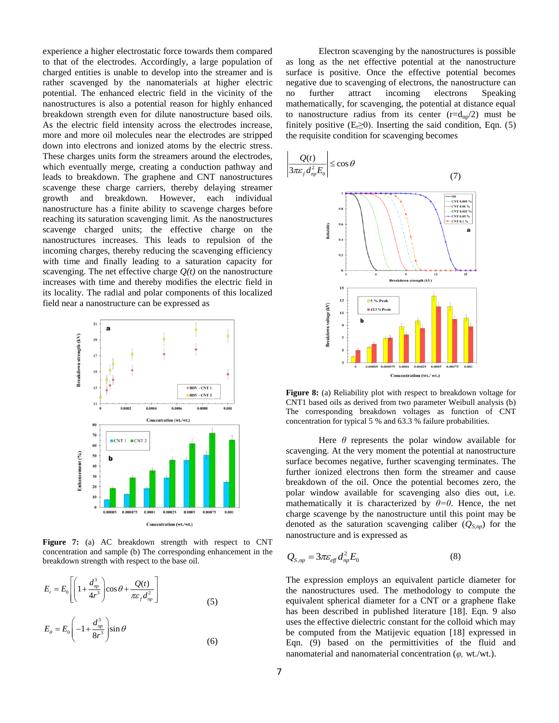experience a higher electrostatic force towards them compared to that of the electrodes. Accordingly, a large population of charged entities is unable to develop into the streamer and is rather scavenged by the nanomaterials at higher electric potential. The enhanced electric field in the vicinity of the nanostructures is also a potential reason for highly enhanced breakdown strength even for dilute nanostructure based oils. As the electric field intensity across the electrodes increase, more and more oil molecules near the electrodes are stripped down into electrons and ionized atoms by the electric stress. These charges units form the streamers around the electrodes, which eventually merge, creating a conduction pathway and leads to breakdown. The graphene and CNT nanostructures scavenge these charge carriers, thereby delaying streamer growth and breakdown. However, each individual nanostructure has a finite ability to scavenge charges before reaching its saturation scavenging limit. As the nanostructures scavenge charged units; the effective charge on the nanostructures increases. This leads to repulsion of the incoming charges, thereby reducing the scavenging efficiency with time and finally leading to a saturation capacity for scavenging. The net effective charge  $Q(t)$  on the nanostructure increases with time and thereby modifies the electric field in its locality. The radial and polar components of this localized field near a nanostructure can be expressed as



Figure 7: (a) AC breakdown strength with respect to CNT concentration and sample (b) The corresponding enhancement in the breakdown strength with respect to the base oil.

$$
E_r = E_0 \left[ \left( 1 + \frac{d_{np}^3}{4r^3} \right) \cos \theta + \frac{Q(t)}{\pi \varepsilon_f d_{np}^2} \right]
$$
  
\n
$$
E_\theta = E_0 \left( -1 + \frac{d_{np}^3}{8r^3} \right) \sin \theta
$$
 (6)

Electron scavenging by the nanostructures is possible as long as the net effective potential at the nanostructure surface is positive. Once the effective potential becomes negative due to scavenging of electrons, the nanostructure can no further attract incoming electrons Speaking mathematically, for scavenging, the potential at distance equal to nanostructure radius from its center  $(r=d_{np}/2)$  must be finitely positive  $(E_1 \ge 0)$ . Inserting the said condition, Eqn. (5) the requisite condition for scavenging becomes



Figure 8: (a) Reliability plot with respect to breakdown voltage for CNT1 based oils as derived from two parameter Weibull analysis (b) The corresponding breakdown voltages as function of CNT concentration for typical 5 % and 63.3 % failure probabilities.

Here  $\theta$  represents the polar window available for scavenging. At the very moment the potential at nanostructure surface becomes negative, further scavenging terminates. The further ionized electrons then form the streamer and cause breakdown of the oil. Once the potential becomes zero, the polar window available for scavenging also dies out, i.e. mathematically it is characterized by  $\theta = 0$ . Hence, the net charge scavenge by the nanostructure until this point may be denoted as the saturation scavenging caliber  $(Q_{S, np})$  for the nanostructure and is expressed as

$$
Q_{S,np} = 3\pi\varepsilon_{\text{eff}} d_{np}^2 E_0 \tag{8}
$$

The expression employs an equivalent particle diameter for the nanostructures used. The methodology to compute the equivalent spherical diameter for a CNT or a graphene flake has been described in published literature [18]. Eqn. 9 also uses the effective dielectric constant for the colloid which may be computed from the Matijevic equation [18] expressed in Eqn. (9) based on the permittivities of the fluid and nanomaterial and nanomaterial concentration (*φ,* wt./wt.).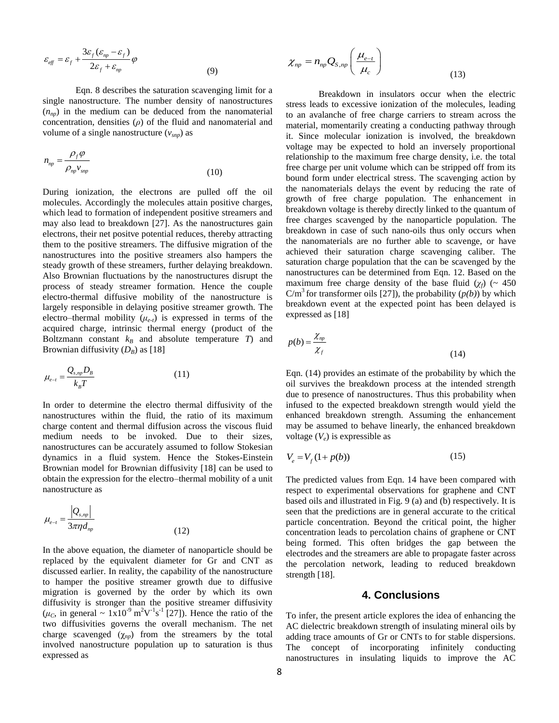$$
\varepsilon_{\text{eff}} = \varepsilon_f + \frac{3\varepsilon_f(\varepsilon_{np} - \varepsilon_f)}{2\varepsilon_f + \varepsilon_{np}} \varphi \tag{9}
$$

Eqn. 8 describes the saturation scavenging limit for a single nanostructure. The number density of nanostructures  $(n_{nn})$  in the medium can be deduced from the nanomaterial concentration, densities (*ρ*) of the fluid and nanomaterial and volume of a single nanostructure  $(v_{\textit{snp}})$  as

$$
n_{np} = \frac{\rho_f \varphi}{\rho_{np} v_{\text{sup}}}
$$
\n(10)

During ionization, the electrons are pulled off the oil molecules. Accordingly the molecules attain positive charges, which lead to formation of independent positive streamers and may also lead to breakdown [27]. As the nanostructures gain electrons, their net positve potential reduces, thereby attracting them to the positive streamers. The diffusive migration of the nanostructures into the positive streamers also hampers the steady growth of these streamers, further delaying breakdown. Also Brownian fluctuations by the nanostructures disrupt the process of steady streamer formation. Hence the couple electro-thermal diffusive mobility of the nanostructure is largely responsible in delaying positive streamer growth. The electro–thermal mobility  $(\mu_{e,t})$  is expressed in terms of the acquired charge, intrinsic thermal energy (product of the Boltzmann constant  $k_B$  and absolute temperature *T*) and Brownian diffusivity  $(D_B)$  as [18]

$$
\mu_{e-t} = \frac{Q_{s,np}D_B}{k_B T} \tag{11}
$$

In order to determine the electro thermal diffusivity of the nanostructures within the fluid, the ratio of its maximum charge content and thermal diffusion across the viscous fluid medium needs to be invoked. Due to their sizes, nanostructures can be accurately assumed to follow Stokesian dynamics in a fluid system. Hence the Stokes-Einstein Brownian model for Brownian diffusivity [18] can be used to obtain the expression for the electro–thermal mobility of a unit nanostructure as

$$
\mu_{e-t} = \frac{|Q_{s,np}|}{3\pi\eta d_{np}}\tag{12}
$$

In the above equation, the diameter of nanoparticle should be replaced by the equivalent diameter for Gr and CNT as discussed earlier. In reality, the capability of the nanostructure to hamper the positive streamer growth due to diffusive migration is governed by the order by which its own diffusivity is stronger than the positive streamer diffusivity  $(\mu_c)$ , in general  $\sim 1x10^{-9}$  m<sup>2</sup>V<sup>-1</sup>s<sup>-1</sup> [27]). Hence the ratio of the two diffusivities governs the overall mechanism. The net charge scavenged (χ*np*) from the streamers by the total involved nanostructure population up to saturation is thus expressed as

$$
\chi_{np} = n_{np} Q_{S,np} \left( \frac{\mu_{e-t}}{\mu_c} \right)
$$
\n(13)

Breakdown in insulators occur when the electric stress leads to excessive ionization of the molecules, leading to an avalanche of free charge carriers to stream across the material, momentarily creating a conducting pathway through it. Since molecular ionization is involved, the breakdown voltage may be expected to hold an inversely proportional relationship to the maximum free charge density, i.e. the total free charge per unit volume which can be stripped off from its bound form under electrical stress. The scavenging action by the nanomaterials delays the event by reducing the rate of growth of free charge population. The enhancement in breakdown voltage is thereby directly linked to the quantum of free charges scavenged by the nanoparticle population. The breakdown in case of such nano-oils thus only occurs when the nanomaterials are no further able to scavenge, or have achieved their saturation charge scavenging caliber. The saturation charge population that the can be scavenged by the nanostructures can be determined from Eqn. 12. Based on the maximum free charge density of the base fluid  $(\chi_f)$  (~ 450)  $C/m<sup>3</sup>$  for transformer oils [27]), the probability  $(p(b))$  by which breakdown event at the expected point has been delayed is expressed as [18]

$$
p(b) = \frac{\chi_{np}}{\chi_f} \tag{14}
$$

Eqn. (14) provides an estimate of the probability by which the oil survives the breakdown process at the intended strength due to presence of nanostructures. Thus this probability when infused to the expected breakdown strength would yield the enhanced breakdown strength. Assuming the enhancement may be assumed to behave linearly, the enhanced breakdown voltage  $(V_e)$  is expressible as

$$
V_e = V_f (1 + p(b))
$$
 (15)

The predicted values from Eqn. 14 have been compared with respect to experimental observations for graphene and CNT based oils and illustrated in Fig. 9 (a) and (b) respectively. It is seen that the predictions are in general accurate to the critical particle concentration. Beyond the critical point, the higher concentration leads to percolation chains of graphene or CNT being formed. This often bridges the gap between the electrodes and the streamers are able to propagate faster across the percolation network, leading to reduced breakdown strength [18].

## **4. Conclusions**

To infer, the present article explores the idea of enhancing the AC dielectric breakdown strength of insulating mineral oils by adding trace amounts of Gr or CNTs to for stable dispersions. The concept of incorporating infinitely conducting nanostructures in insulating liquids to improve the AC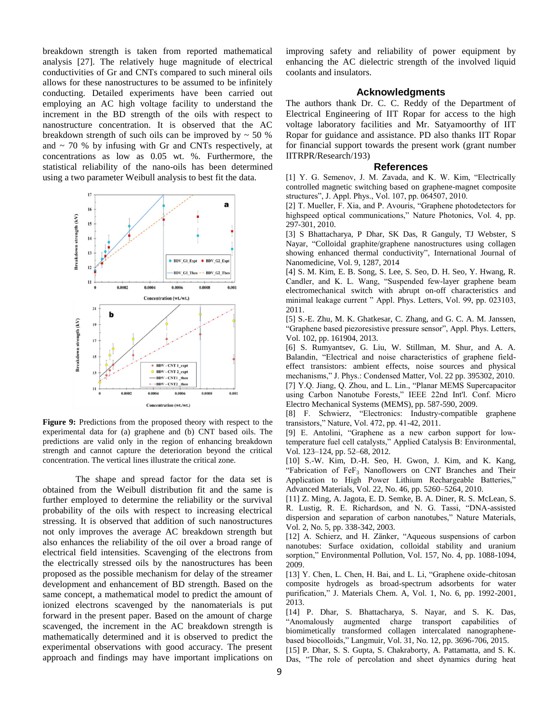breakdown strength is taken from reported mathematical analysis [27]. The relatively huge magnitude of electrical conductivities of Gr and CNTs compared to such mineral oils allows for these nanostructures to be assumed to be infinitely conducting. Detailed experiments have been carried out employing an AC high voltage facility to understand the increment in the BD strength of the oils with respect to nanostructure concentration. It is observed that the AC breakdown strength of such oils can be improved by  $\sim$  50 % and  $\sim$  70 % by infusing with Gr and CNTs respectively, at concentrations as low as 0.05 wt. %. Furthermore, the statistical reliability of the nano-oils has been determined using a two parameter Weibull analysis to best fit the data.



**Figure 9:** Predictions from the proposed theory with respect to the experimental data for (a) graphene and (b) CNT based oils. The predictions are valid only in the region of enhancing breakdown strength and cannot capture the deterioration beyond the critical concentration. The vertical lines illustrate the critical zone.

The shape and spread factor for the data set is obtained from the Weibull distribution fit and the same is further employed to determine the reliability or the survival probability of the oils with respect to increasing electrical stressing. It is observed that addition of such nanostructures not only improves the average AC breakdown strength but also enhances the reliability of the oil over a broad range of electrical field intensities. Scavenging of the electrons from the electrically stressed oils by the nanostructures has been proposed as the possible mechanism for delay of the streamer development and enhancement of BD strength. Based on the same concept, a mathematical model to predict the amount of ionized electrons scavenged by the nanomaterials is put forward in the present paper. Based on the amount of charge scavenged, the increment in the AC breakdown strength is mathematically determined and it is observed to predict the experimental observations with good accuracy. The present approach and findings may have important implications on improving safety and reliability of power equipment by enhancing the AC dielectric strength of the involved liquid coolants and insulators.

#### **Acknowledgments**

The authors thank Dr. C. C. Reddy of the Department of Electrical Engineering of IIT Ropar for access to the high voltage laboratory facilities and Mr. Satyamoorthy of IIT Ropar for guidance and assistance. PD also thanks IIT Ropar for financial support towards the present work (grant number IITRPR/Research/193)

#### **References**

[1] Y. G. Semenov, J. M. Zavada, and K. W. Kim, "Electrically controlled magnetic switching based on graphene-magnet composite structures", J. Appl. Phys., Vol. 107, pp. 064507, 2010.

[2] T. Mueller, F. Xia, and P. Avouris, "Graphene photodetectors for highspeed optical communications," Nature Photonics, Vol. 4, pp. 297-301, 2010.

[3] S Bhattacharya, P Dhar, SK Das, R Ganguly, TJ Webster, S Nayar, ["Colloidal graphite/graphene nanostructures using collagen](https://scholar.google.co.in/citations?view_op=view_citation&hl=en&user=FBGOzDAAAAAJ&citation_for_view=FBGOzDAAAAAJ:9yKSN-GCB0IC)  [showing enhanced thermal conductivity"](https://scholar.google.co.in/citations?view_op=view_citation&hl=en&user=FBGOzDAAAAAJ&citation_for_view=FBGOzDAAAAAJ:9yKSN-GCB0IC), International Journal of Nanomedicine, Vol. 9, 1287, 2014

[4] S. M. Kim, E. B. Song, S. Lee, S. Seo, D. H. Seo, Y. Hwang, R. Candler, and K. L. Wang, "Suspended few-layer graphene beam electromechanical switch with abrupt on-off characteristics and minimal leakage current " Appl. Phys. Letters, Vol. 99, pp. 023103, 2011.

[5] S.-E. Zhu, M. K. Ghatkesar, C. Zhang, and G. C. A. M. Janssen, "Graphene based piezoresistive pressure sensor", Appl. Phys. Letters, Vol. 102, pp. 161904, 2013.

[6] S. Rumyantsev, G. Liu, W. Stillman, M. Shur, and A. A. Balandin, "Electrical and noise characteristics of graphene fieldeffect transistors: ambient effects, noise sources and physical mechanisms," J. Phys.: Condensed Matter, Vol. 22 pp. 395302, 2010. [7] Y.Q. Jiang, Q. Zhou, and L. Lin., "Planar MEMS Supercapacitor using Carbon Nanotube Forests," IEEE 22nd Int'l. Conf. Micro Electro Mechanical Systems (MEMS), pp. 587-590, 2009.

[8] F. Schwierz, "Electronics: Industry-compatible graphene transistors," Nature, Vol. 472, pp. 41-42, 2011.

[9] E. Antolini, "Graphene as a new carbon support for lowtemperature fuel cell catalysts," Applied Catalysis B: Environmental, Vol. 123–124, pp. 52–68, 2012.

[10] S.-W. Kim, D.-H. Seo, H. Gwon, J. Kim, and K. Kang, "Fabrication of  $FeF<sub>3</sub>$  Nanoflowers on CNT Branches and Their Application to High Power Lithium Rechargeable Batteries," Advanced Materials, Vol. 22, No. 46, pp. 5260–5264, 2010.

[11] Z. Ming, A. Jagota, E. D. Semke, B. A. Diner, R. S. McLean, S. R. Lustig, R. E. Richardson, and N. G. Tassi, "DNA-assisted dispersion and separation of carbon nanotubes," Nature Materials, Vol. 2, No. 5, pp. 338-342, 2003.

[12] A. Schierz, and H. Zänker, "Aqueous suspensions of carbon nanotubes: Surface oxidation, colloidal stability and uranium sorption," Environmental Pollution, Vol. 157, No. 4, pp. 1088-1094, 2009.

[13] Y. Chen, L. Chen, H. Bai, and L. Li, "Graphene oxide-chitosan composite hydrogels as broad-spectrum adsorbents for water purification," J. Materials Chem. A, Vol. 1, No. 6, pp. 1992-2001, 2013.

[14] P. Dhar, S. Bhattacharya, S. Nayar, and S. K. Das, "Anomalously augmented charge transport capabilities of biomimetically transformed collagen intercalated nanographenebased biocolloids," Langmuir, Vol. 31, No. 12, pp. 3696-706, 2015.

[15] P. Dhar, S. S. Gupta, S. Chakraborty, A. Pattamatta, and S. K. Das, "The role of percolation and sheet dynamics during heat